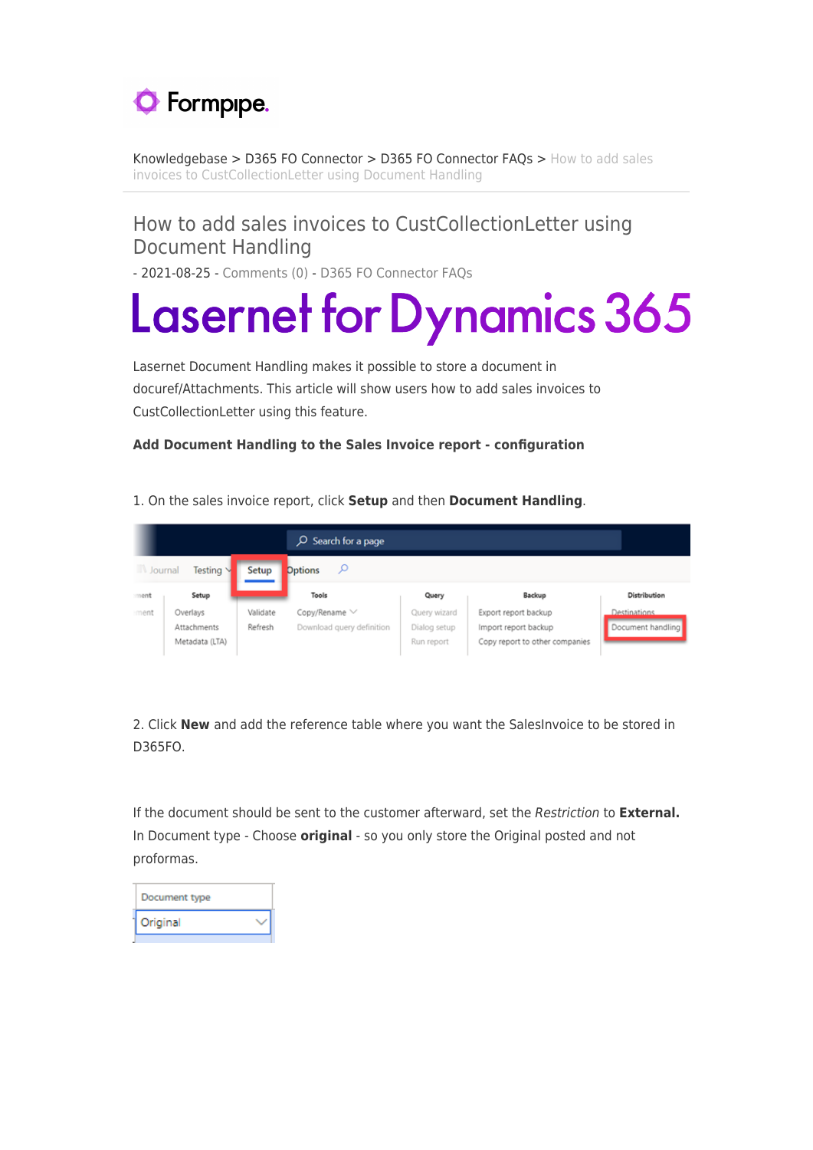

[Knowledgebase](https://support.formpipe.com/kb) > [D365 FO Connector](https://support.formpipe.com/kb/d365-fo-connector) > [D365 FO Connector FAQs](https://support.formpipe.com/kb/d365-fo-connector-faqs) > [How to add sales](https://support.formpipe.com/kb/articles/how-to-add-sales-invoices-to-custcollectionletter-using-document-handling) [invoices to CustCollectionLetter using Document Handling](https://support.formpipe.com/kb/articles/how-to-add-sales-invoices-to-custcollectionletter-using-document-handling)

## How to add sales invoices to CustCollectionLetter using Document Handling

- 2021-08-25 - [Comments \(0\)](#page--1-0) - [D365 FO Connector FAQs](https://support.formpipe.com/kb/d365-fo-connector-faqs)

# **Lasernet for Dynamics 365**

Lasernet Document Handling makes it possible to store a document in docuref/Attachments. This article will show users how to add sales invoices to CustCollectionLetter using this feature.

## **Add Document Handling to the Sales Invoice report - configuration**

|      |                      |          | $O$ Search for a page     |              |                                |                   |
|------|----------------------|----------|---------------------------|--------------|--------------------------------|-------------------|
| W.   | Testing V<br>Journal | Setup    | <b>Options</b><br>ىر      |              |                                |                   |
| ment | Setup                |          | Tools                     | Query        | Backup                         | Distribution      |
| ment | Overlays             | Validate | Copy/Rename V             | Query wizard | Export report backup           | Destinations.     |
|      | Attachments          | Refresh  | Download query definition | Dialog setup | Import report backup           | Document handling |
|      | Metadata (LTA)       |          |                           | Run report   | Copy report to other companies |                   |

1. On the sales invoice report, click **Setup** and then **Document Handling**.

2. Click **New** and add the reference table where you want the SalesInvoice to be stored in D365FO.

If the document should be sent to the customer afterward, set the Restriction to **External.** In Document type - Choose **original** - so you only store the Original posted and not proformas.

| Document type |  |
|---------------|--|
| Original      |  |
|               |  |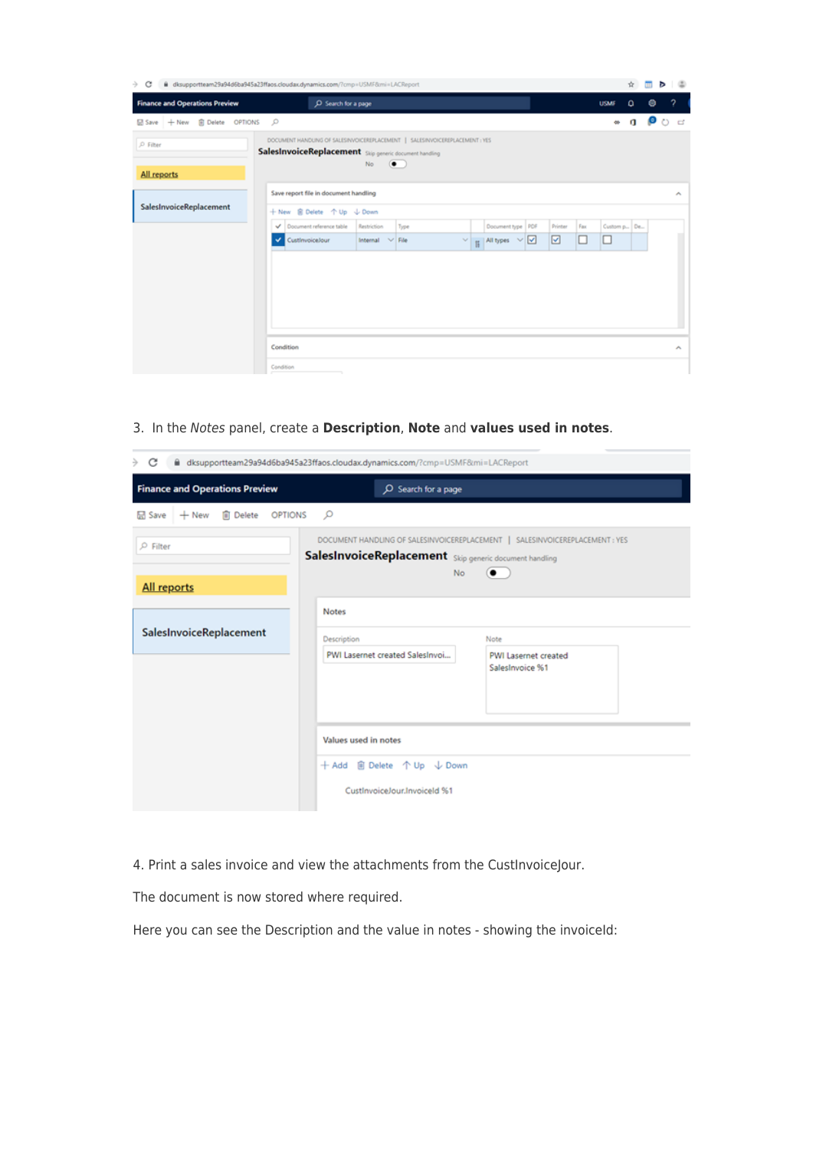| C<br>÷                                | disupportteam29a94d6ba945a23ffaos.cloudax.dynamics.com/?cmp=USMF8mi=LACReport                                                                             | ÷               |   |   | D 8                        |
|---------------------------------------|-----------------------------------------------------------------------------------------------------------------------------------------------------------|-----------------|---|---|----------------------------|
| <b>Finance and Operations Preview</b> | C Search for a page<br><b>USMF</b>                                                                                                                        | ۵               |   | ۰ | 2 <sup>1</sup>             |
| 品 Save + New 自 Delete OPTIONS D       |                                                                                                                                                           | œ               | a | O | ದಿ ದ                       |
| P Filter<br>All reports               | DOCUMENT HANDUNG OF SALES/NVOICEREPLACEMENT   SALES/NVOICEREPLACEMENT : YES<br>SalesInvoiceReplacement Stip generic document handling<br>No.<br>$\bullet$ |                 |   |   |                            |
|                                       | Save report file in document handling                                                                                                                     |                 |   |   | $\mathcal{N}_{\mathrm{c}}$ |
| SalesInvoiceReplacement               | + New B Delete 个 Up ↓ Down                                                                                                                                |                 |   |   |                            |
|                                       | Document reference table<br>Restriction<br>Document type   PDF<br>Fax<br>Type<br>Printer<br>v                                                             | Custom p., De., |   |   |                            |
|                                       | ☑<br>$\vee$ $\begin{array}{c c} \hline \end{array}$ All types $\vee$ $\boxed{\triangleleft}$<br>Custinvoicelour<br>Internal V File<br>⊔<br>v<br>⊔         |                 |   |   |                            |
|                                       | Condition<br>Condition<br>n.                                                                                                                              |                 |   |   | $\mathcal{A}_\mathbf{L}$   |

3. In the Notes panel, create a **Description**, **Note** and **values used in notes**.

| →<br>C                                | iii dksupportteam29a94d6ba945a23ffaos.cloudax.dynamics.com/?cmp=USMF8tmi=LACReport |                                                                                           |
|---------------------------------------|------------------------------------------------------------------------------------|-------------------------------------------------------------------------------------------|
| <b>Finance and Operations Preview</b> | O Search for a page                                                                |                                                                                           |
| + New iii Delete OPTIONS<br>品 Save    | $\circ$                                                                            |                                                                                           |
| $\rho$ Filter<br>All reports          | SalesInvoiceReplacement Skip generic document handling<br>No.                      | DOCUMENT HANDLING OF SALESINVOICEREPLACEMENT   SALESINVOICEREPLACEMENT : YES<br>$\bullet$ |
| SalesInvoiceReplacement               | <b>Notes</b><br>Description                                                        | Note                                                                                      |
|                                       | PWI Lasernet created SalesInvoi                                                    | PWI Lasernet created<br>SalesInvoice %1                                                   |
|                                       | Values used in notes<br>CustInvoiceJour.InvoiceId %1                               |                                                                                           |

4. Print a sales invoice and view the attachments from the CustInvoiceJour.

The document is now stored where required.

Here you can see the Description and the value in notes - showing the invoiceId: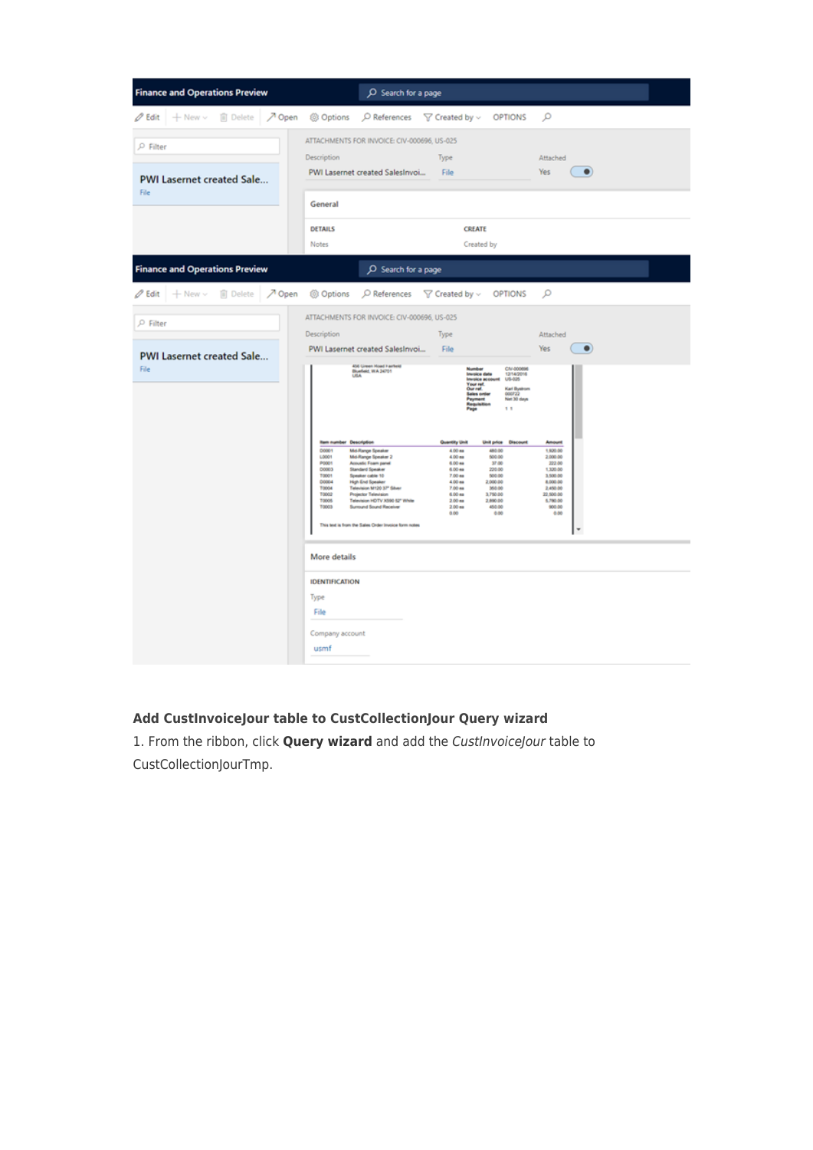| <b>Finance and Operations Preview</b>                 | O Search for a page                                                                                                                                                                                                                                                                                                                                                                                                                                                                                                                                                                                                                                                                                                                                                                                                                                                                                                                                                                                                      |                                                                                                                                            |
|-------------------------------------------------------|--------------------------------------------------------------------------------------------------------------------------------------------------------------------------------------------------------------------------------------------------------------------------------------------------------------------------------------------------------------------------------------------------------------------------------------------------------------------------------------------------------------------------------------------------------------------------------------------------------------------------------------------------------------------------------------------------------------------------------------------------------------------------------------------------------------------------------------------------------------------------------------------------------------------------------------------------------------------------------------------------------------------------|--------------------------------------------------------------------------------------------------------------------------------------------|
| $\mathscr{O}$ Edit $+$ New $\vee$<br><b>ID</b> Delete | プ Open ③ Options<br>$\bigcirc$ References $\bigcirc$ Created by $\vee$ OPTIONS                                                                                                                                                                                                                                                                                                                                                                                                                                                                                                                                                                                                                                                                                                                                                                                                                                                                                                                                           | ۹                                                                                                                                          |
| $P$ Filter<br><b>PWI Lasernet created Sale</b>        | ATTACHMENTS FOR INVOICE: CIV-000696, US-025<br>Description<br>Type<br>PWI Lasernet created SalesInvoi<br>File                                                                                                                                                                                                                                                                                                                                                                                                                                                                                                                                                                                                                                                                                                                                                                                                                                                                                                            | Attached<br>Yes<br>$\bullet$                                                                                                               |
| File                                                  | General                                                                                                                                                                                                                                                                                                                                                                                                                                                                                                                                                                                                                                                                                                                                                                                                                                                                                                                                                                                                                  |                                                                                                                                            |
|                                                       | <b>DETAILS</b><br><b>CREATE</b><br><b>Notes</b><br>Created by                                                                                                                                                                                                                                                                                                                                                                                                                                                                                                                                                                                                                                                                                                                                                                                                                                                                                                                                                            |                                                                                                                                            |
| <b>Finance and Operations Preview</b>                 | O Search for a page                                                                                                                                                                                                                                                                                                                                                                                                                                                                                                                                                                                                                                                                                                                                                                                                                                                                                                                                                                                                      |                                                                                                                                            |
| $\mathscr O$ Edit<br><b>ID</b> Delete<br>$+$ New $-$  | 入 Open ⑥ Options<br>$\bigcirc$ References $\bigcirc$ Created by $\vee$ OPTIONS                                                                                                                                                                                                                                                                                                                                                                                                                                                                                                                                                                                                                                                                                                                                                                                                                                                                                                                                           | Q                                                                                                                                          |
| P Filter<br><b>PWI Lasernet created Sale</b>          | ATTACHMENTS FOR INVOICE: CIV-000696, US-025<br>Description<br>Type<br>File<br>PWI Lasernet created SalesInvoi                                                                                                                                                                                                                                                                                                                                                                                                                                                                                                                                                                                                                                                                                                                                                                                                                                                                                                            | Attached<br>Yes<br>$\bullet$                                                                                                               |
| File                                                  | 456 Green Hoad Fartest<br>CIV-000696<br>Number<br>Bluefield, WA 24701<br>USA<br>12/14/2016<br>US-025<br><b>Invoice date</b><br><b>Invoice account</b><br>Your ref.<br>Karl Bystrom<br>Our ref.<br>Sales only<br>000722<br>Net 30 days<br>11<br><b>Rem number Description</b><br>Quantity Unit<br><b>Unit price Discount</b><br>00001<br><b>Md-Range Speaker</b><br>4.00 mm<br>480.00<br>1,0001<br>Md-Range Speaker 2<br>4.00 <sub>ms</sub><br>500.00<br>POOT<br>Acoustic Foam panel<br>6.00 ea<br>37.00<br>00003<br>Standard Speaker<br>6.00 ma<br>220.00<br>T0001<br>Speaker cable 10<br>7.00 mm<br>500.00<br><b>COOL4</b><br>High End Speaker<br>4.00 mm<br>2,000.00<br>Television M120 37" Silver<br>TODOL<br>7.00 ma<br>350.00<br>T0002<br><b>Projector Television</b><br>6.00 mm<br>3,750.00<br><b>T0005</b><br>Television HDTV X590 52" White<br>2,890.00<br>2.00 <sub>ms</sub><br>TODGS<br>Surround Sound Receiver<br>450.00<br>$2.00$ ma<br>0.00<br>0.00<br>This text is from the Sales Order Invoice form notes | <b>Amount</b><br>1,920.00<br>2,000.00<br>222.00<br>1,320.00<br>3,500.00<br>8,000.00<br>2,450.00<br>22,500.00<br>5,780.00<br>900.00<br>0.00 |
|                                                       | More details<br><b>IDENTIFICATION</b><br>Type<br>File<br>Company account<br>usmf                                                                                                                                                                                                                                                                                                                                                                                                                                                                                                                                                                                                                                                                                                                                                                                                                                                                                                                                         |                                                                                                                                            |

## **Add CustInvoiceJour table to CustCollectionJour Query wizard**

1. From the ribbon, click **Query wizard** and add the CustInvoiceJour table to CustCollectionJourTmp.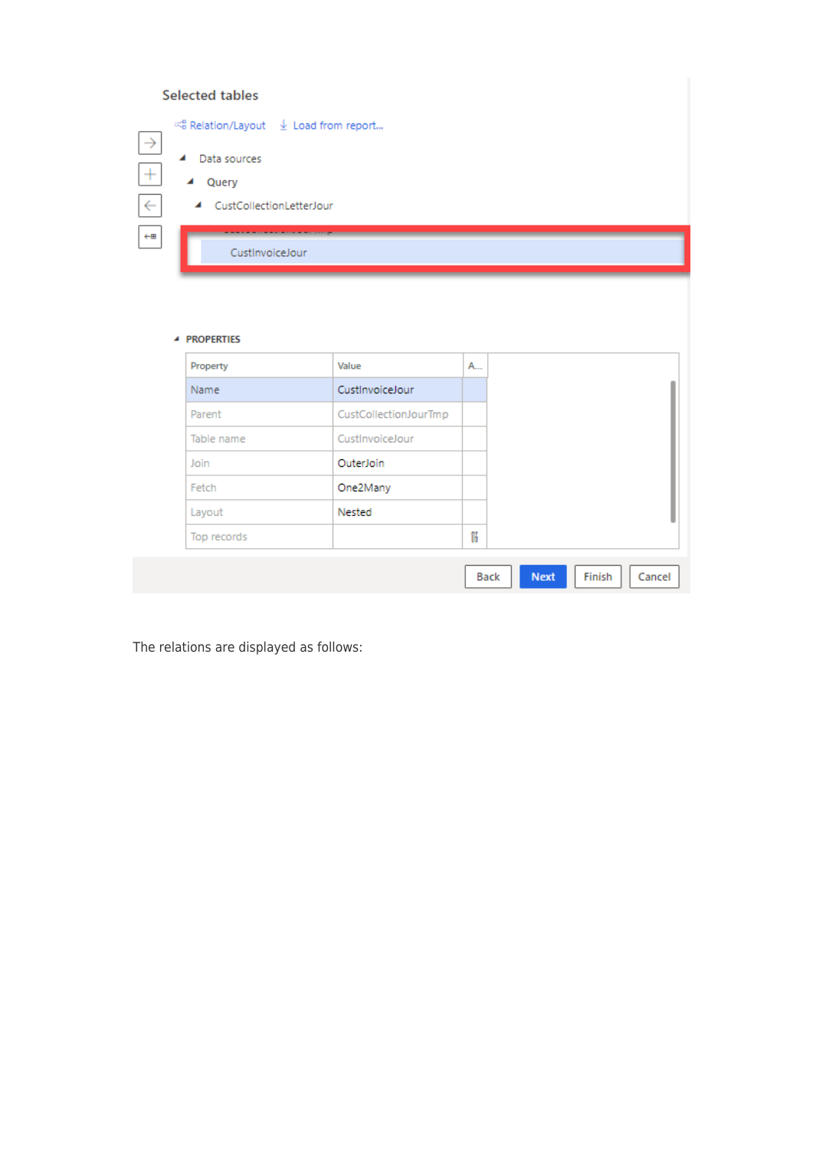## Selected tables

| $\rightarrow$ | $\mathbb{R}^6$ Relation/Layout $\mathbb{R}$ Load from report |
|---------------|--------------------------------------------------------------|
| $\pm$         | Data sources<br>◢<br>Query                                   |
|               | 4 CustCollectionLetterJour                                   |
| $\leftarrow$  | CustInvoiceJour                                              |

#### **4 PROPERTIES**

| Property    | Value                 | A           |
|-------------|-----------------------|-------------|
| Name        | CustInvoiceJour       |             |
| Parent      | CustCollectionJourTmp |             |
| Table name  | CustInvoiceJour       |             |
| Join        | OuterJoin             |             |
| Fetch       | One2Many              |             |
| Layout      | Nested                |             |
| Top records |                       | Ħ           |
|             |                       | <b>Back</b> |

The relations are displayed as follows: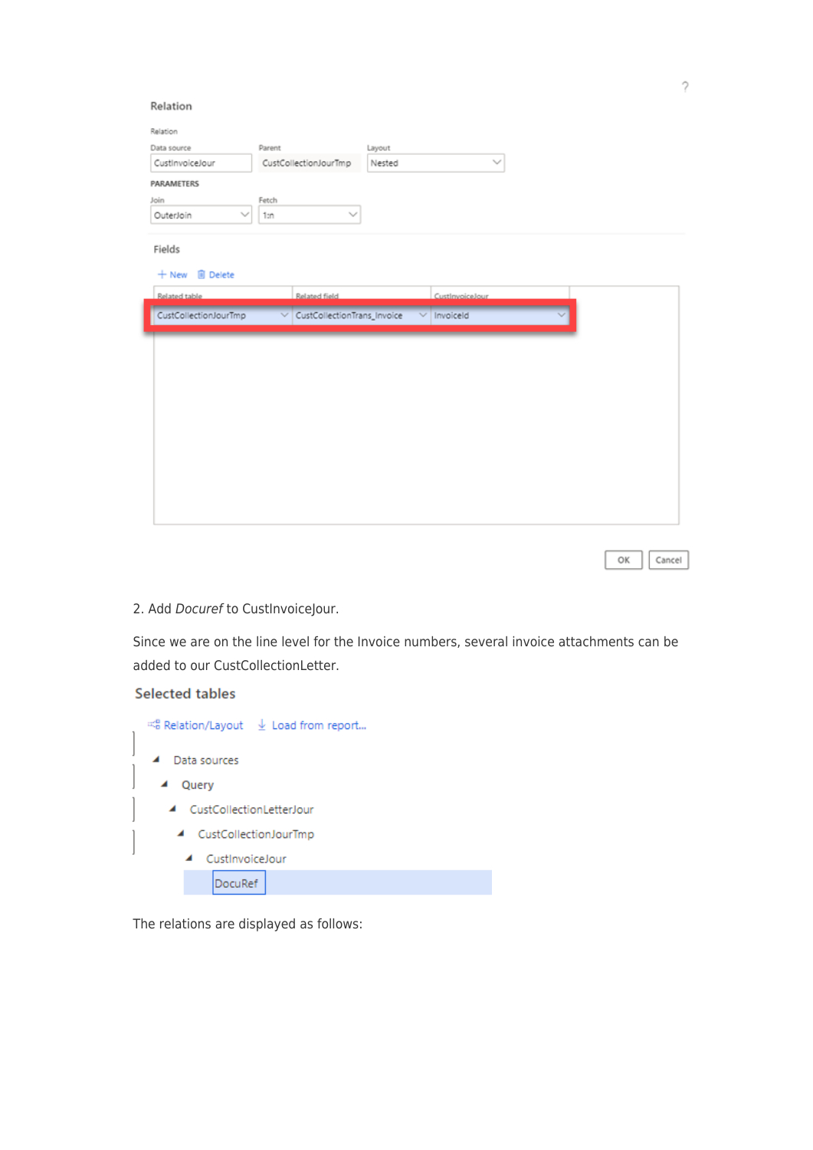| Relation               |                                  |        |                 |  |
|------------------------|----------------------------------|--------|-----------------|--|
| Data source            | Parent                           | Layout |                 |  |
| CustinvoiceJour        | CustCollectionJourTmp            | Nested | $\checkmark$    |  |
| PARAMETERS             |                                  |        |                 |  |
| Join                   | Fetch                            |        |                 |  |
| OuterJoin              | $\sim$<br>1: n                   |        |                 |  |
| Fields                 |                                  |        |                 |  |
| + New <b>ID</b> Delete |                                  |        |                 |  |
| Related table          | Related field                    |        | CustInvoiceJour |  |
| CustCollectionJourTmp  | CustCollectionTrans_Invoice<br>▽ |        |                 |  |
|                        |                                  |        | Invoiceld       |  |
|                        |                                  |        |                 |  |
|                        |                                  |        |                 |  |
|                        |                                  |        |                 |  |
|                        |                                  |        |                 |  |
|                        |                                  |        |                 |  |
|                        |                                  |        |                 |  |
|                        |                                  |        |                 |  |
|                        |                                  |        |                 |  |
|                        |                                  |        |                 |  |
|                        |                                  |        |                 |  |
|                        |                                  |        |                 |  |

## 2. Add Docuref to CustInvoiceJour.

Since we are on the line level for the Invoice numbers, several invoice attachments can be added to our CustCollectionLetter.

### **Selected tables**

| $\leq$ Relation/Layout $\quad \perp$ Load from report |
|-------------------------------------------------------|
| Data sources<br>◢                                     |
| Query<br>◢                                            |
| CustCollectionLetterJour<br>◢                         |
| CustCollectionJourTmp<br>◢                            |
| CustInvoiceJour<br>◢                                  |
| DocuRef                                               |
|                                                       |

The relations are displayed as follows: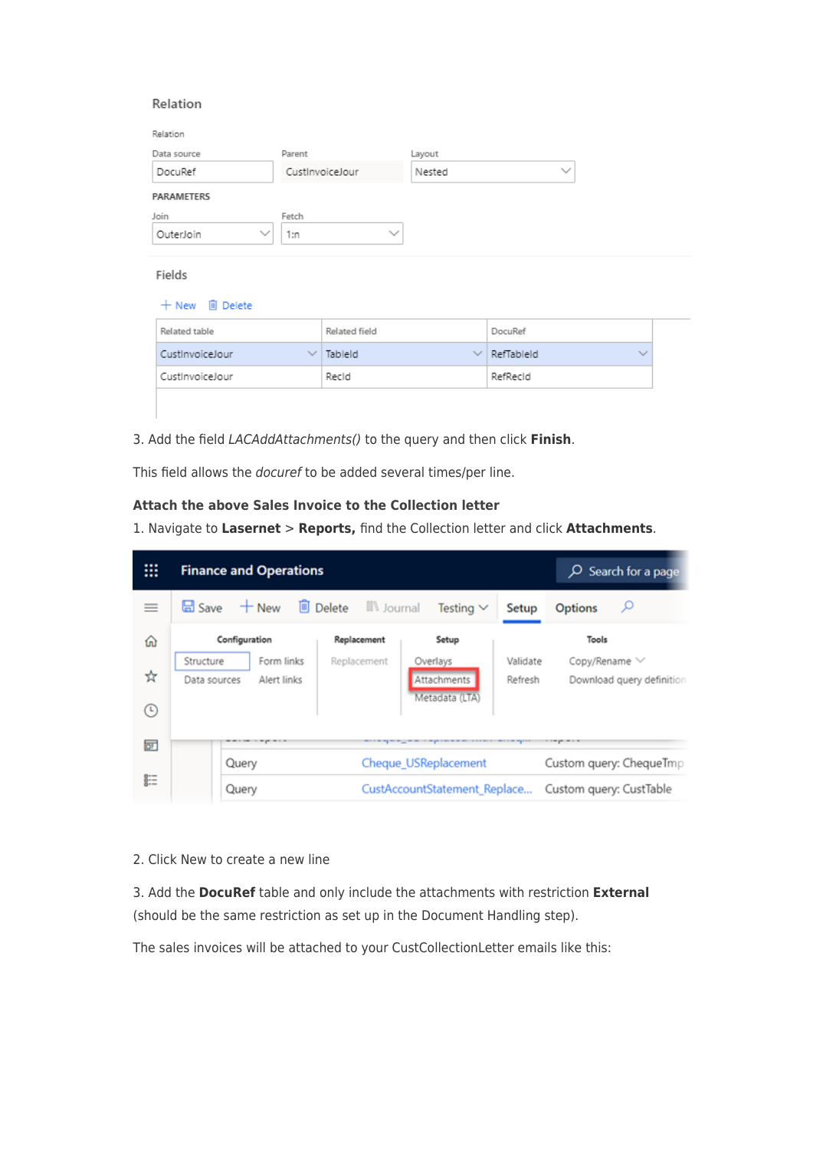#### Relation

| Data source               | Parent       |                 | Layout |                   |              |
|---------------------------|--------------|-----------------|--------|-------------------|--------------|
| DocuRef                   |              | CustInvoiceJour | Nested | $\checkmark$      |              |
| PARAMETERS                |              |                 |        |                   |              |
| Join                      | Fetch        |                 |        |                   |              |
| $\checkmark$<br>OuterJoin | 1:n          | $\checkmark$    |        |                   |              |
| Fields                    |              |                 |        |                   |              |
| + New     Delete          |              |                 |        |                   |              |
| Related table             |              | Related field   |        | DocuRef           |              |
| CustInvoiceJour           | $\checkmark$ | Tableld         |        | $\vee$ RefTableId | $\checkmark$ |
|                           |              | Recid           |        | RefRecid          |              |

3. Add the field LACAddAttachments() to the query and then click **Finish**.

This field allows the docuref to be added several times/per line.

## **Attach the above Sales Invoice to the Collection letter**

1. Navigate to **Lasernet** > **Reports,** find the Collection letter and click **Attachments**.

| ▦      |                                                        | <b>Finance and Operations</b> | $O$ Search for a page             |                                           |                         |                                                        |
|--------|--------------------------------------------------------|-------------------------------|-----------------------------------|-------------------------------------------|-------------------------|--------------------------------------------------------|
| $=$    | <b>品</b> Save                                          | $+$ New                       | <b>Delete</b><br><b>N</b> Journal | Testing $\vee$                            | ىر<br><b>Options</b>    |                                                        |
| ⋒      |                                                        | Configuration                 | Replacement                       | Setup                                     |                         | Tools                                                  |
| ☆<br>⊙ | Form links<br>Structure<br>Alert links<br>Data sources |                               | Replacement                       | Overlays<br>Attachments<br>Metadata (LTA) |                         | Copy/Rename V<br>Validate<br>Download query definition |
| ਕਾ     |                                                        | Query                         |                                   | Cheque_USReplacement                      | Custom query: ChequeTmp |                                                        |
| 睚      |                                                        | Query                         |                                   | CustAccountStatement_Replace              | Custom query: CustTable |                                                        |

2. Click New to create a new line

3. Add the **DocuRef** table and only include the attachments with restriction **External** (should be the same restriction as set up in the Document Handling step).

The sales invoices will be attached to your CustCollectionLetter emails like this: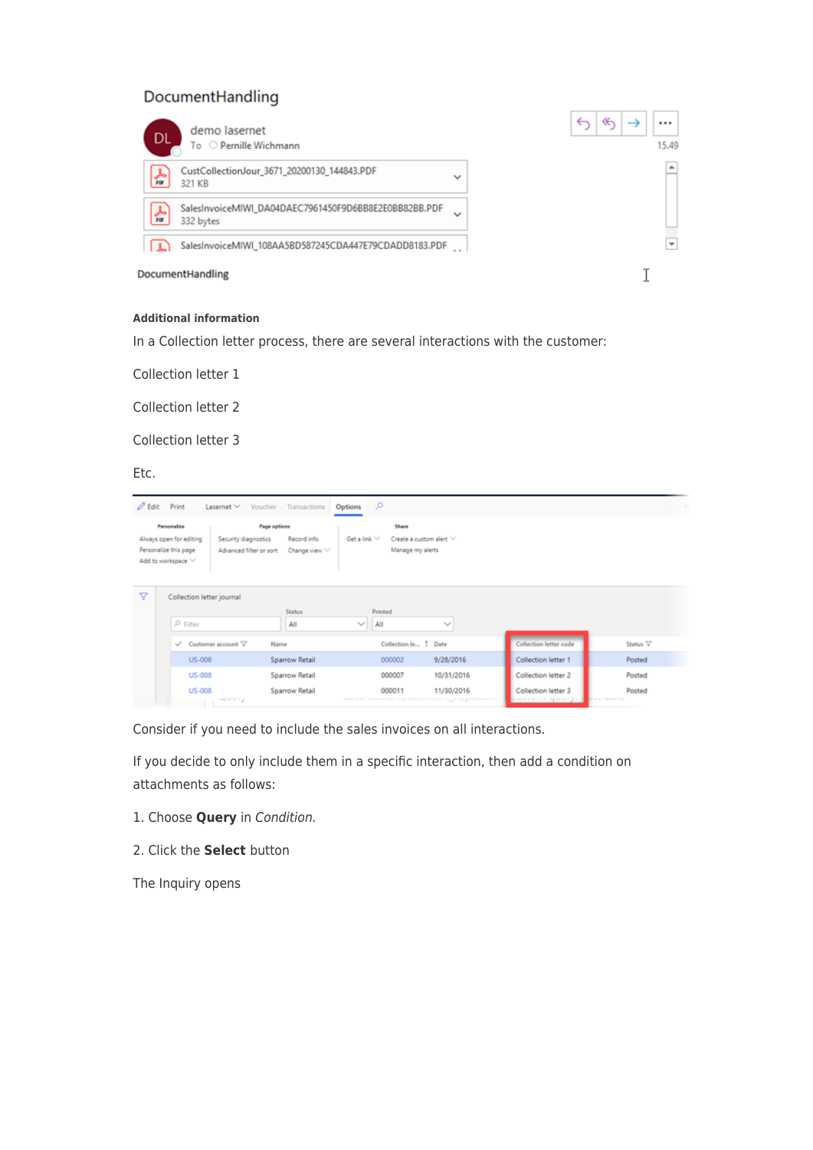## DocumentHandling

| demo lasernet<br><b>DL</b><br>To Pernille Wichmann                                      | ≪<br><br>⊸<br>15.49 |
|-----------------------------------------------------------------------------------------|---------------------|
| CustCollectionJour_3671_20200130_144843.PDF<br>كحر<br>$\checkmark$<br>por<br>321 KB     | ۰                   |
| SalesInvoiceMIWI_DA04DAEC7961450F9D6BB8E2E0BB82BB.PDF<br>슮<br>$\checkmark$<br>332 bytes |                     |
| SalesInvoiceMIWI_108AA5BD587245CDA447E79CDADD8183.PDF<br>$\sim$                         | $\mathbf{v}$        |
| DocumentHandling                                                                        |                     |

#### **Additional information**

In a Collection letter process, there are several interactions with the customer:

Collection letter 1

Collection letter 2

Collection letter 3

Etc.

| $\mathscr O$ Edit                                                                     |                  | Print                                           | Voucher<br>Lasernet $\vee$                                   | Transactions          | <b>Options</b> | $\alpha$                                                  |                                                                               |                     |                                         |                            |  |
|---------------------------------------------------------------------------------------|------------------|-------------------------------------------------|--------------------------------------------------------------|-----------------------|----------------|-----------------------------------------------------------|-------------------------------------------------------------------------------|---------------------|-----------------------------------------|----------------------------|--|
| Personalize<br>Always open for editing<br>Personalize this page<br>Add to workspace V |                  | Security diagnostics<br>Advanced filter or sort | Page options<br>Get a link V<br>Record info<br>Change view V |                       |                | Share<br>Create a custom alert $\vee$<br>Manage my alerts |                                                                               |                     |                                         |                            |  |
| 7                                                                                     |                  | Collection letter journal<br>$\rho$ Filter      |                                                              | <b>Status</b><br>All  | $\sim$         | Printed<br>All                                            | $\checkmark$                                                                  |                     |                                         |                            |  |
|                                                                                       |                  | $\checkmark$                                    | Customer account Y                                           | Name                  |                | Collection le 1                                           | Date                                                                          |                     | Collection letter code                  | Status <sup>V</sup>        |  |
|                                                                                       | US-008<br>US-008 |                                                 | Sparrow Retail                                               |                       | 000002         | 9/28/2016                                                 |                                                                               | Collection letter 1 | Posted                                  |                            |  |
|                                                                                       |                  |                                                 | <b>Sparrow Retail</b>                                        |                       |                | 10/31/2016                                                |                                                                               | Collection letter 2 | Posted                                  |                            |  |
|                                                                                       |                  | <b>US-008</b>                                   | <b>SAMILY</b>                                                | <b>Sparrow Retail</b> |                |                                                           | 11/30/2016<br>Send of the Send of Check Contract Check Co., Check Contents in |                     | Collection letter 3<br>www.com spready. | Posted<br><b>REPAIRING</b> |  |

Consider if you need to include the sales invoices on all interactions.

If you decide to only include them in a specific interaction, then add a condition on attachments as follows:

- 1. Choose **Query** in Condition.
- 2. Click the **Select** button

The Inquiry opens